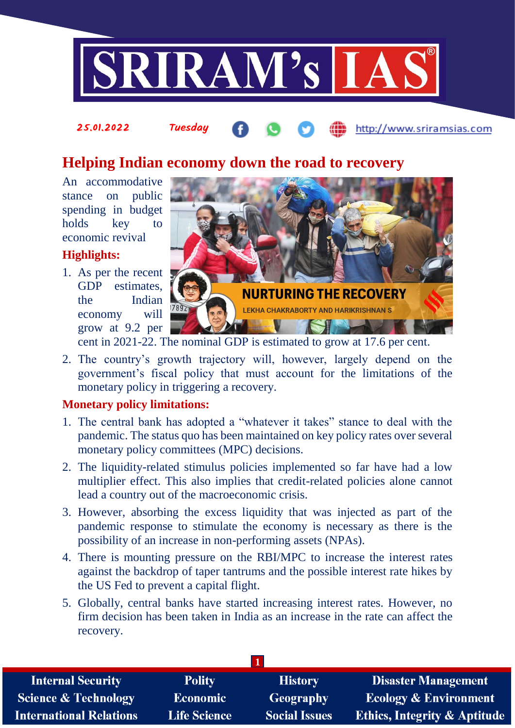

#### 25.01.2022 Tuesday http://www.sriramsias.com

# **Helping Indian economy down the road to recovery**

An accommodative stance on public spending in budget holds key to economic revival

### **Highlights:**

1. As per the recent GDP estimates, the Indian economy will grow at 9.2 per



cent in 2021-22. The nominal GDP is estimated to grow at 17.6 per cent.

2. The country's growth trajectory will, however, largely depend on the government's fiscal policy that must account for the limitations of the monetary policy in triggering a recovery.

#### **Monetary policy limitations:**

- 1. The central bank has adopted a "whatever it takes" stance to deal with the pandemic. The status quo has been maintained on key policy rates over several monetary policy committees (MPC) decisions.
- 2. The liquidity-related stimulus policies implemented so far have had a low multiplier effect. This also implies that credit-related policies alone cannot lead a country out of the macroeconomic crisis.
- 3. However, absorbing the excess liquidity that was injected as part of the pandemic response to stimulate the economy is necessary as there is the possibility of an increase in non-performing assets (NPAs).
- 4. There is mounting pressure on the RBI/MPC to increase the interest rates against the backdrop of taper tantrums and the possible interest rate hikes by the US Fed to prevent a capital flight.
- 5. Globally, central banks have started increasing interest rates. However, no firm decision has been taken in India as an increase in the rate can affect the recovery.

| <b>Internal Security</b>        | <b>Polity</b>       | <b>History</b>       | <b>Disaster Management</b>              |  |
|---------------------------------|---------------------|----------------------|-----------------------------------------|--|
| <b>Science &amp; Technology</b> | Economic            | Geography            | <b>Ecology &amp; Environment</b>        |  |
| <b>International Relations</b>  | <b>Life Science</b> | <b>Social Issues</b> | <b>Ethics, Integrity &amp; Aptitude</b> |  |